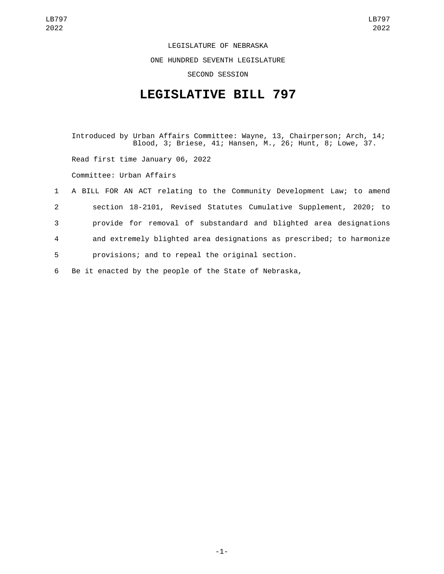LEGISLATURE OF NEBRASKA ONE HUNDRED SEVENTH LEGISLATURE SECOND SESSION

## **LEGISLATIVE BILL 797**

Introduced by Urban Affairs Committee: Wayne, 13, Chairperson; Arch, 14; Blood, 3; Briese, 41; Hansen, M., 26; Hunt, 8; Lowe, 37. Read first time January 06, 2022 Committee: Urban Affairs 1 A BILL FOR AN ACT relating to the Community Development Law; to amend 2 section 18-2101, Revised Statutes Cumulative Supplement, 2020; to 3 provide for removal of substandard and blighted area designations 4 and extremely blighted area designations as prescribed; to harmonize

5 provisions; and to repeal the original section.

6 Be it enacted by the people of the State of Nebraska,